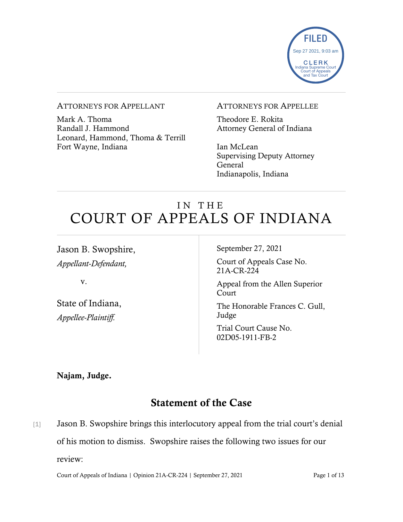

#### ATTORNEYS FOR APPELLANT

Mark A. Thoma Randall J. Hammond Leonard, Hammond, Thoma & Terrill Fort Wayne, Indiana

#### ATTORNEYS FOR APPELLEE

Theodore E. Rokita Attorney General of Indiana

Ian McLean Supervising Deputy Attorney General Indianapolis, Indiana

# IN THE COURT OF APPEALS OF INDIANA

Jason B. Swopshire, *Appellant-Defendant,*

v.

State of Indiana, *Appellee-Plaintiff.*

September 27, 2021

Court of Appeals Case No. 21A-CR-224

Appeal from the Allen Superior Court

The Honorable Frances C. Gull, Judge

Trial Court Cause No. 02D05-1911-FB-2

Najam, Judge.

# Statement of the Case

[1] Jason B. Swopshire brings this interlocutory appeal from the trial court's denial of his motion to dismiss. Swopshire raises the following two issues for our review:

Court of Appeals of Indiana | Opinion 21A-CR-224 | September 27, 2021 Page 1 of 13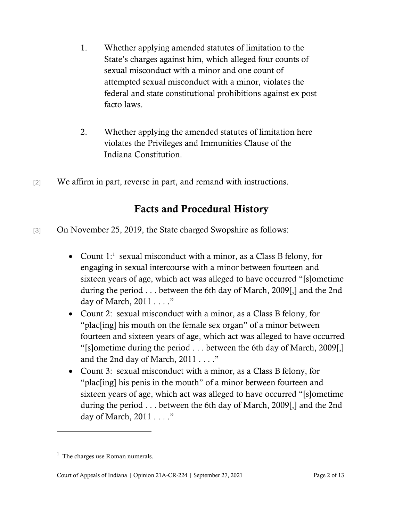- 1. Whether applying amended statutes of limitation to the State's charges against him, which alleged four counts of sexual misconduct with a minor and one count of attempted sexual misconduct with a minor, violates the federal and state constitutional prohibitions against ex post facto laws.
- 2. Whether applying the amended statutes of limitation here violates the Privileges and Immunities Clause of the Indiana Constitution.
- [2] We affirm in part, reverse in part, and remand with instructions.

## Facts and Procedural History

- [3] On November 25, 2019, the State charged Swopshire as follows:
	- Count  $1$ : sexual misconduct with a minor, as a Class B felony, for engaging in sexual intercourse with a minor between fourteen and sixteen years of age, which act was alleged to have occurred "[s]ometime during the period . . . between the 6th day of March, 2009[,] and the 2nd day of March, 2011 . . . ."
	- Count 2: sexual misconduct with a minor, as a Class B felony, for "plac[ing] his mouth on the female sex organ" of a minor between fourteen and sixteen years of age, which act was alleged to have occurred "[s]ometime during the period . . . between the 6th day of March, 2009[,] and the 2nd day of March, 2011 . . . ."
	- Count 3: sexual misconduct with a minor, as a Class B felony, for "plac[ing] his penis in the mouth" of a minor between fourteen and sixteen years of age, which act was alleged to have occurred "[s]ometime during the period . . . between the 6th day of March, 2009[,] and the 2nd day of March, 2011 . . . ."

<span id="page-1-0"></span> $<sup>1</sup>$  The charges use Roman numerals.</sup>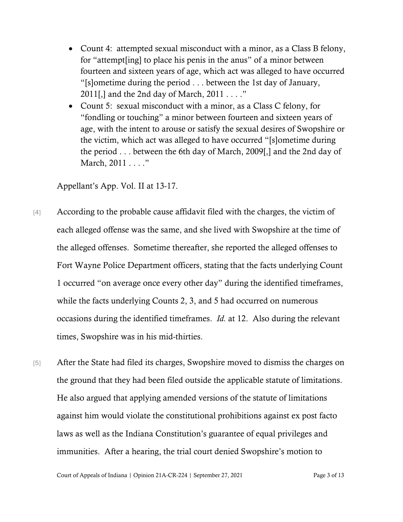- Count 4: attempted sexual misconduct with a minor, as a Class B felony, for "attempt[ing] to place his penis in the anus" of a minor between fourteen and sixteen years of age, which act was alleged to have occurred "[s]ometime during the period . . . between the 1st day of January, 2011[,] and the 2nd day of March,  $2011...$ "
- Count 5: sexual misconduct with a minor, as a Class C felony, for "fondling or touching" a minor between fourteen and sixteen years of age, with the intent to arouse or satisfy the sexual desires of Swopshire or the victim, which act was alleged to have occurred "[s]ometime during the period . . . between the 6th day of March, 2009[,] and the 2nd day of March, 2011 . . . ."

Appellant's App. Vol. II at 13-17.

- [4] According to the probable cause affidavit filed with the charges, the victim of each alleged offense was the same, and she lived with Swopshire at the time of the alleged offenses. Sometime thereafter, she reported the alleged offenses to Fort Wayne Police Department officers, stating that the facts underlying Count 1 occurred "on average once every other day" during the identified timeframes, while the facts underlying Counts 2, 3, and 5 had occurred on numerous occasions during the identified timeframes. *Id.* at 12. Also during the relevant times, Swopshire was in his mid-thirties.
- [5] After the State had filed its charges, Swopshire moved to dismiss the charges on the ground that they had been filed outside the applicable statute of limitations. He also argued that applying amended versions of the statute of limitations against him would violate the constitutional prohibitions against ex post facto laws as well as the Indiana Constitution's guarantee of equal privileges and immunities. After a hearing, the trial court denied Swopshire's motion to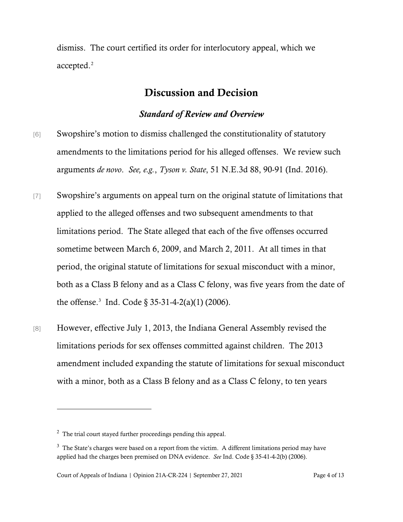dismiss. The court certified its order for interlocutory appeal, which we accepted.<sup>[2](#page-3-0)</sup>

## Discussion and Decision

### *Standard of Review and Overview*

- [6] Swopshire's motion to dismiss challenged the constitutionality of statutory amendments to the limitations period for his alleged offenses. We review such arguments *de novo*. *See, e.g.*, *Tyson v. State*, 51 N.E.3d 88, 90-91 (Ind. 2016).
- [7] Swopshire's arguments on appeal turn on the original statute of limitations that applied to the alleged offenses and two subsequent amendments to that limitations period. The State alleged that each of the five offenses occurred sometime between March 6, 2009, and March 2, 2011. At all times in that period, the original statute of limitations for sexual misconduct with a minor, both as a Class B felony and as a Class C felony, was five years from the date of the offense.<sup>[3](#page-3-1)</sup> Ind. Code  $\S 35-31-4-2(a)(1)$  (2006).
- [8] However, effective July 1, 2013, the Indiana General Assembly revised the limitations periods for sex offenses committed against children. The 2013 amendment included expanding the statute of limitations for sexual misconduct with a minor, both as a Class B felony and as a Class C felony, to ten years

<span id="page-3-0"></span> $2^2$  The trial court stayed further proceedings pending this appeal.

<span id="page-3-1"></span> $3$  The State's charges were based on a report from the victim. A different limitations period may have applied had the charges been premised on DNA evidence. *See* Ind. Code § 35-41-4-2(b) (2006).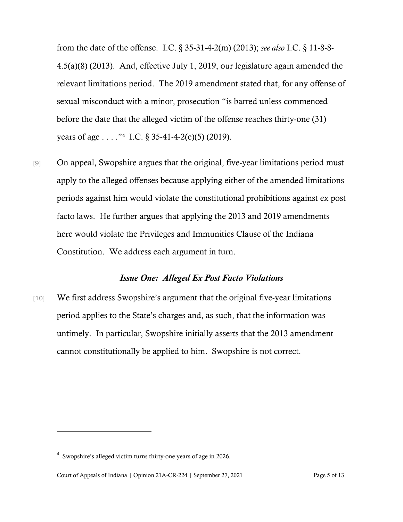from the date of the offense. I.C. § 35-31-4-2(m) (2013); *see also* I.C. § 11-8-8- 4.5(a)(8) (2013). And, effective July 1, 2019, our legislature again amended the relevant limitations period. The 2019 amendment stated that, for any offense of sexual misconduct with a minor, prosecution "is barred unless commenced before the date that the alleged victim of the offense reaches thirty-one (31) years of age . . . ."[4](#page-4-0) I.C. § 35-41-4-2(e)(5) (2019).

[9] On appeal, Swopshire argues that the original, five-year limitations period must apply to the alleged offenses because applying either of the amended limitations periods against him would violate the constitutional prohibitions against ex post facto laws. He further argues that applying the 2013 and 2019 amendments here would violate the Privileges and Immunities Clause of the Indiana Constitution. We address each argument in turn.

#### *Issue One: Alleged Ex Post Facto Violations*

[10] We first address Swopshire's argument that the original five-year limitations period applies to the State's charges and, as such, that the information was untimely. In particular, Swopshire initially asserts that the 2013 amendment cannot constitutionally be applied to him. Swopshire is not correct.

<span id="page-4-0"></span> $4$  Swopshire's alleged victim turns thirty-one years of age in 2026.

Court of Appeals of Indiana | Opinion 21A-CR-224 | September 27, 2021 Page 5 of 13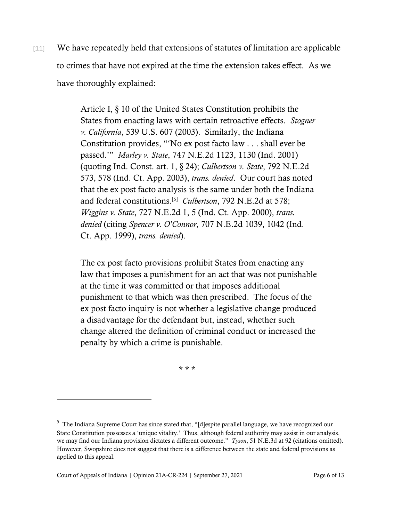[11] We have repeatedly held that extensions of statutes of limitation are applicable to crimes that have not expired at the time the extension takes effect. As we have thoroughly explained:

> Article I, § 10 of the United States Constitution prohibits the States from enacting laws with certain retroactive effects. *Stogner v. California*, 539 U.S. 607 (2003). Similarly, the Indiana Constitution provides, "'No ex post facto law . . . shall ever be passed.'" *Marley v. State*, 747 N.E.2d 1123, 1130 (Ind. 2001) (quoting Ind. Const. art. 1, § 24); *Culbertson v. State*, 792 N.E.2d 573, 578 (Ind. Ct. App. 2003), *trans. denied*. Our court has noted that the ex post facto analysis is the same under both the Indiana and federal constitutions.[[5\]](#page-5-0) *Culbertson*, 792 N.E.2d at 578; *Wiggins v. State*, 727 N.E.2d 1, 5 (Ind. Ct. App. 2000), *trans. denied* (citing *Spencer v. O'Connor*, 707 N.E.2d 1039, 1042 (Ind. Ct. App. 1999), *trans. denied*).

> The ex post facto provisions prohibit States from enacting any law that imposes a punishment for an act that was not punishable at the time it was committed or that imposes additional punishment to that which was then prescribed. The focus of the ex post facto inquiry is not whether a legislative change produced a disadvantage for the defendant but, instead, whether such change altered the definition of criminal conduct or increased the penalty by which a crime is punishable.

> > \* \* \*

<span id="page-5-0"></span><sup>&</sup>lt;sup>5</sup> The Indiana Supreme Court has since stated that, "[d]espite parallel language, we have recognized our State Constitution possesses a 'unique vitality.' Thus, although federal authority may assist in our analysis, we may find our Indiana provision dictates a different outcome." *Tyson*, 51 N.E.3d at 92 (citations omitted). However, Swopshire does not suggest that there is a difference between the state and federal provisions as applied to this appeal.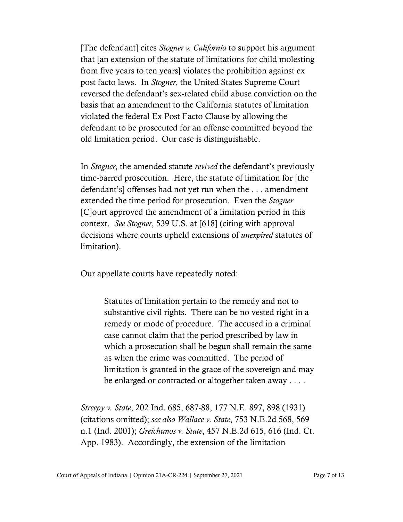[The defendant] cites *Stogner v. California* to support his argument that [an extension of the statute of limitations for child molesting from five years to ten years] violates the prohibition against ex post facto laws. In *Stogner*, the United States Supreme Court reversed the defendant's sex-related child abuse conviction on the basis that an amendment to the California statutes of limitation violated the federal Ex Post Facto Clause by allowing the defendant to be prosecuted for an offense committed beyond the old limitation period. Our case is distinguishable.

In *Stogner*, the amended statute *revived* the defendant's previously time-barred prosecution. Here, the statute of limitation for [the defendant's] offenses had not yet run when the . . . amendment extended the time period for prosecution. Even the *Stogner* [C]ourt approved the amendment of a limitation period in this context. *See Stogner*, 539 U.S. at [618] (citing with approval decisions where courts upheld extensions of *unexpired* statutes of limitation).

Our appellate courts have repeatedly noted:

Statutes of limitation pertain to the remedy and not to substantive civil rights. There can be no vested right in a remedy or mode of procedure. The accused in a criminal case cannot claim that the period prescribed by law in which a prosecution shall be begun shall remain the same as when the crime was committed. The period of limitation is granted in the grace of the sovereign and may be enlarged or contracted or altogether taken away . . . .

*Streepy v. State*, 202 Ind. 685, 687-88, 177 N.E. 897, 898 (1931) (citations omitted); *see also Wallace v. State*, 753 N.E.2d 568, 569 n.1 (Ind. 2001); *Greichunos v. State*, 457 N.E.2d 615, 616 (Ind. Ct. App. 1983). Accordingly, the extension of the limitation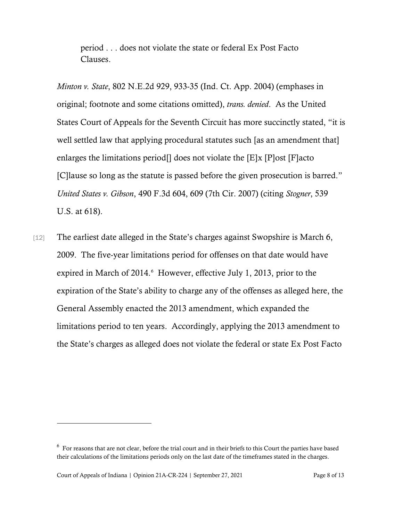period . . . does not violate the state or federal Ex Post Facto Clauses.

*Minton v. State*, 802 N.E.2d 929, 933-35 (Ind. Ct. App. 2004) (emphases in original; footnote and some citations omitted), *trans. denied*. As the United States Court of Appeals for the Seventh Circuit has more succinctly stated, "it is well settled law that applying procedural statutes such [as an amendment that] enlarges the limitations period<sup>[]</sup> does not violate the  $[E]x$   $[P]$ ost  $[F]$ acto [C]lause so long as the statute is passed before the given prosecution is barred." *United States v. Gibson*, 490 F.3d 604, 609 (7th Cir. 2007) (citing *Stogner*, 539 U.S. at 618).

[12] The earliest date alleged in the State's charges against Swopshire is March 6, 2009. The five-year limitations period for offenses on that date would have expired in March of 2014. However, effective July 1, 2013, prior to the expiration of the State's ability to charge any of the offenses as alleged here, the General Assembly enacted the 2013 amendment, which expanded the limitations period to ten years. Accordingly, applying the 2013 amendment to the State's charges as alleged does not violate the federal or state Ex Post Facto

<span id="page-7-0"></span> $6\,$  For reasons that are not clear, before the trial court and in their briefs to this Court the parties have based their calculations of the limitations periods only on the last date of the timeframes stated in the charges.

Court of Appeals of Indiana | Opinion 21A-CR-224 | September 27, 2021 Page 8 of 13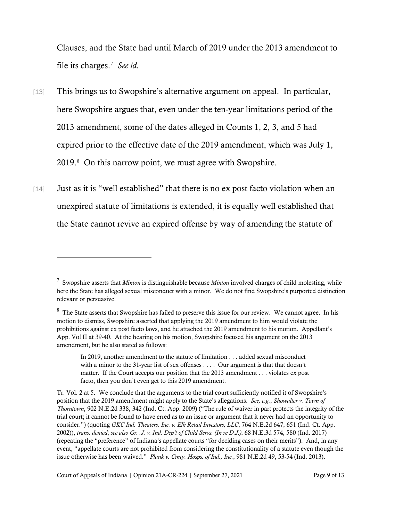Clauses, and the State had until March of 2019 under the 2013 amendment to file its charges.<sup>[7](#page-8-0)</sup> See id.

- [13] This brings us to Swopshire's alternative argument on appeal. In particular, here Swopshire argues that, even under the ten-year limitations period of the 2013 amendment, some of the dates alleged in Counts 1, 2, 3, and 5 had expired prior to the effective date of the 2019 amendment, which was July 1, 2019. [8](#page-8-1) On this narrow point, we must agree with Swopshire.
- [14] Just as it is "well established" that there is no ex post facto violation when an unexpired statute of limitations is extended, it is equally well established that the State cannot revive an expired offense by way of amending the statute of

<span id="page-8-0"></span><sup>7</sup> Swopshire asserts that *Minton* is distinguishable because *Minton* involved charges of child molesting, while here the State has alleged sexual misconduct with a minor. We do not find Swopshire's purported distinction relevant or persuasive.

<span id="page-8-1"></span> $8\,$  The State asserts that Swopshire has failed to preserve this issue for our review. We cannot agree. In his motion to dismiss, Swopshire asserted that applying the 2019 amendment to him would violate the prohibitions against ex post facto laws, and he attached the 2019 amendment to his motion. Appellant's App. Vol II at 39-40. At the hearing on his motion, Swopshire focused his argument on the 2013 amendment, but he also stated as follows:

In 2019, another amendment to the statute of limitation . . . added sexual misconduct with a minor to the 31-year list of sex offenses . . . . Our argument is that that doesn't matter. If the Court accepts our position that the 2013 amendment . . . violates ex post facto, then you don't even get to this 2019 amendment.

Tr. Vol. 2 at 5. We conclude that the arguments to the trial court sufficiently notified it of Swopshire's position that the 2019 amendment might apply to the State's allegations. *See, e.g.*, *Showalter v. Town of Thorntown*, 902 N.E.2d 338, 342 (Ind. Ct. App. 2009) ("The rule of waiver in part protects the integrity of the trial court; it cannot be found to have erred as to an issue or argument that it never had an opportunity to consider.") (quoting *GKC Ind. Theaters, Inc. v. Elk Retail Investors, LLC*, 764 N.E.2d 647, 651 (Ind. Ct. App. 2002)), *trans. denied*; *see also Gr. .J. v. Ind. Dep't of Child Servs. (In re D.J.)*, 68 N.E.3d 574, 580 (Ind. 2017) (repeating the "preference" of Indiana's appellate courts "for deciding cases on their merits"). And, in any event, "appellate courts are not prohibited from considering the constitutionality of a statute even though the issue otherwise has been waived." *Plank v. Cmty. Hosps. of Ind., Inc.*, 981 N.E.2d 49, 53-54 (Ind. 2013).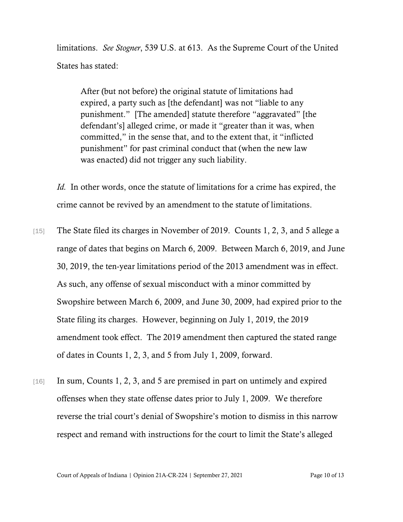limitations. *See Stogner*, 539 U.S. at 613. As the Supreme Court of the United States has stated:

After (but not before) the original statute of limitations had expired, a party such as [the defendant] was not "liable to any punishment." [The amended] statute therefore "aggravated" [the defendant's] alleged crime, or made it "greater than it was, when committed," in the sense that, and to the extent that, it "inflicted punishment" for past criminal conduct that (when the new law was enacted) did not trigger any such liability.

*Id.* In other words, once the statute of limitations for a crime has expired, the crime cannot be revived by an amendment to the statute of limitations.

- [15] The State filed its charges in November of 2019. Counts 1, 2, 3, and 5 allege a range of dates that begins on March 6, 2009. Between March 6, 2019, and June 30, 2019, the ten-year limitations period of the 2013 amendment was in effect. As such, any offense of sexual misconduct with a minor committed by Swopshire between March 6, 2009, and June 30, 2009, had expired prior to the State filing its charges. However, beginning on July 1, 2019, the 2019 amendment took effect. The 2019 amendment then captured the stated range of dates in Counts 1, 2, 3, and 5 from July 1, 2009, forward.
- [16] In sum, Counts 1, 2, 3, and 5 are premised in part on untimely and expired offenses when they state offense dates prior to July 1, 2009. We therefore reverse the trial court's denial of Swopshire's motion to dismiss in this narrow respect and remand with instructions for the court to limit the State's alleged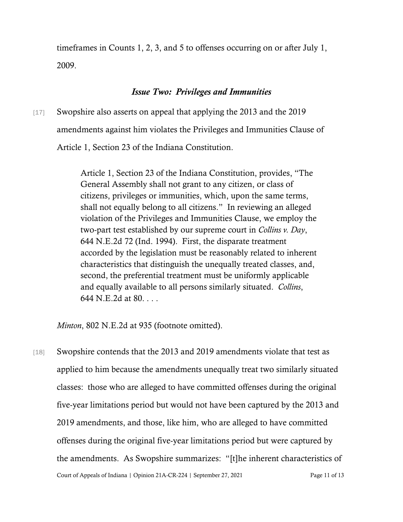timeframes in Counts 1, 2, 3, and 5 to offenses occurring on or after July 1, 2009.

#### *Issue Two: Privileges and Immunities*

[17] Swopshire also asserts on appeal that applying the 2013 and the 2019 amendments against him violates the Privileges and Immunities Clause of Article 1, Section 23 of the Indiana Constitution.

> Article 1, Section 23 of the Indiana Constitution, provides, "The General Assembly shall not grant to any citizen, or class of citizens, privileges or immunities, which, upon the same terms, shall not equally belong to all citizens." In reviewing an alleged violation of the Privileges and Immunities Clause, we employ the two-part test established by our supreme court in *Collins v. Day*, 644 N.E.2d 72 (Ind. 1994). First, the disparate treatment accorded by the legislation must be reasonably related to inherent characteristics that distinguish the unequally treated classes, and, second, the preferential treatment must be uniformly applicable and equally available to all persons similarly situated. *Collins*, 644 N.E.2d at 80. . . .

*Minton*, 802 N.E.2d at 935 (footnote omitted).

Court of Appeals of Indiana | Opinion 21A-CR-224 | September 27, 2021 Page 11 of 13 [18] Swopshire contends that the 2013 and 2019 amendments violate that test as applied to him because the amendments unequally treat two similarly situated classes: those who are alleged to have committed offenses during the original five-year limitations period but would not have been captured by the 2013 and 2019 amendments, and those, like him, who are alleged to have committed offenses during the original five-year limitations period but were captured by the amendments. As Swopshire summarizes: "[t]he inherent characteristics of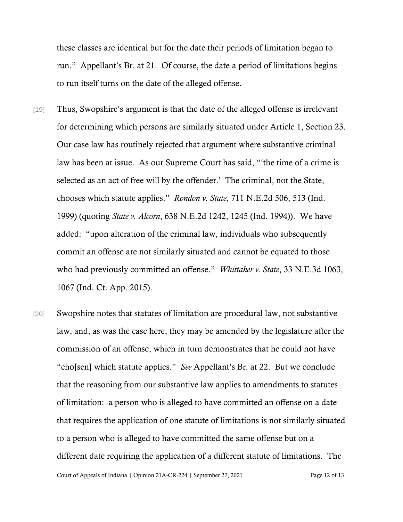these classes are identical but for the date their periods of limitation began to run." Appellant's Br. at 21. Of course, the date a period of limitations begins to run itself turns on the date of the alleged offense.

- [19] Thus, Swopshire's argument is that the date of the alleged offense is irrelevant for determining which persons are similarly situated under Article 1, Section 23. Our case law has routinely rejected that argument where substantive criminal law has been at issue. As our Supreme Court has said, "'the time of a crime is selected as an act of free will by the offender.' The criminal, not the State, chooses which statute applies." *Rondon v. State*, 711 N.E.2d 506, 513 (Ind. 1999) (quoting *State v. Alcorn*, 638 N.E.2d 1242, 1245 (Ind. 1994)). We have added: "upon alteration of the criminal law, individuals who subsequently commit an offense are not similarly situated and cannot be equated to those who had previously committed an offense." *Whittaker v. State*, 33 N.E.3d 1063, 1067 (Ind. Ct. App. 2015).
- [20] Swopshire notes that statutes of limitation are procedural law, not substantive law, and, as was the case here, they may be amended by the legislature after the commission of an offense, which in turn demonstrates that he could not have "cho[sen] which statute applies." *See* Appellant's Br. at 22. But we conclude that the reasoning from our substantive law applies to amendments to statutes of limitation: a person who is alleged to have committed an offense on a date that requires the application of one statute of limitations is not similarly situated to a person who is alleged to have committed the same offense but on a different date requiring the application of a different statute of limitations. The